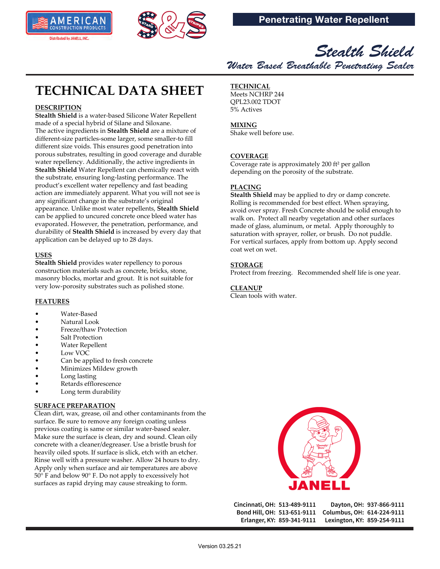



## *Stealth Shield Water Based Breathable Penetrating Sealer*

# **TECHNICAL DATA SHEET**

## **DESCRIPTION**

**Stealth Shield** is a water-based Silicone Water Repellent made of a special hybrid of Silane and Siloxane. The active ingredients in **Stealth Shield** are a mixture of different-size particles-some larger, some smaller-to fill different size voids. This ensures good penetration into porous substrates, resulting in good coverage and durable water repellency. Additionally, the active ingredients in **Stealth Shield** Water Repellent can chemically react with the substrate, ensuring long-lasting performance. The product's excellent water repellency and fast beading action are immediately apparent. What you will not see is any significant change in the substrate's original appearance. Unlike most water repellents, **Stealth Shield**  can be applied to uncured concrete once bleed water has evaporated. However, the penetration, performance, and durability of **Stealth Shield** is increased by every day that application can be delayed up to 28 days.

## **USES**

**Stealth Shield** provides water repellency to porous construction materials such as concrete, bricks, stone, masonry blocks, mortar and grout. It is not suitable for very low-porosity substrates such as polished stone.

## **FEATURES**

- Water-Based
- Natural Look
- Freeze/thaw Protection
- Salt Protection
- Water Repellent
- Low VOC
- Can be applied to fresh concrete
- Minimizes Mildew growth
- Long lasting
- Retards efflorescence
- Long term durability

## **SURFACE PREPARATION**

Clean dirt, wax, grease, oil and other contaminants from the surface. Be sure to remove any foreign coating unless previous coating is same or similar water-based sealer. Make sure the surface is clean, dry and sound. Clean oily concrete with a cleaner/degreaser. Use a bristle brush for heavily oiled spots. If surface is slick, etch with an etcher. Rinse well with a pressure washer. Allow 24 hours to dry. Apply only when surface and air temperatures are above 50° F and below 90° F. Do not apply to excessively hot surfaces as rapid drying may cause streaking to form.

## **TECHNICAL**

Meets NCHRP 244 QPL23.002 TDOT 5% Actives

## **MIXING**

Shake well before use.

## **COVERAGE**

Coverage rate is approximately 200 ft² per gallon depending on the porosity of the substrate.

## **PLACING**

**Stealth Shield** may be applied to dry or damp concrete. Rolling is recommended for best effect. When spraying, avoid over spray. Fresh Concrete should be solid enough to walk on. Protect all nearby vegetation and other surfaces made of glass, aluminum, or metal. Apply thoroughly to saturation with sprayer, roller, or brush. Do not puddle. For vertical surfaces, apply from bottom up. Apply second coat wet on wet.

## **STORAGE**

Protect from freezing. Recommended shelf life is one year.

## **CLEANUP**

Clean tools with water.



Cincinnati, OH: 513-489-9111 Bond Hill, OH: 513-651-9111 Erlanger, KY: 859-341-9111

Dayton, OH: 937-866-9111 Columbus, OH: 614-224-9111 Lexington, KY: 859-254-9111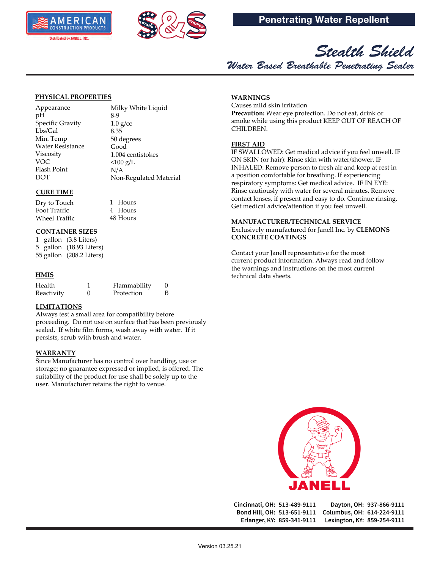





#### **PHYSICAL PROPERTIES**

Appearance pH Specific Gravity Lbs/Gal Min. Temp Water Resistance Viscosity VOC Flash Point DOT

Milky White Liquid 8-9  $1.0 g/cc$ 8.35 50 degrees Good 1.004 centistokes  $< 100 g/L$ N/A Non-Regulated Material

## **CURE TIME**

Foot Traffic Wheel Traffic Dry to Touch

## **CONTAINER SIZES**

1 gallon (3.8 Liters) 5 gallon (18.93 Liters) 55 gallon (208.2 Liters)

## **HMIS**

| Health     | Flammability |  |
|------------|--------------|--|
| Reactivity | Protection   |  |

#### **LIMITATIONS**

Always test a small area for compatibility before proceeding. Do not use on surface that has been previously sealed. If white film forms, wash away with water. If it persists, scrub with brush and water.

1 Hours 4 Hours 48 Hours

#### **WARRANTY**

Since Manufacturer has no control over handling, use or storage; no guarantee expressed or implied, is offered. The suitability of the product for use shall be solely up to the user. Manufacturer retains the right to venue.

## **WARNINGS**

Causes mild skin irritation **Precaution:** Wear eye protection. Do not eat, drink or smoke while using this product KEEP OUT OF REACH OF CHILDREN.

## **FIRST AID**

IF SWALLOWED: Get medical advice if you feel unwell. IF ON SKIN (or hair): Rinse skin with water/shower. IF INHALED: Remove person to fresh air and keep at rest in a position comfortable for breathing. If experiencing respiratory symptoms: Get medical advice. IF IN EYE: Rinse cautiously with water for several minutes. Remove contact lenses, if present and easy to do. Continue rinsing. Get medical advice/attention if you feel unwell.

#### **MANUFACTURER/TECHNICAL SERVICE**

Exclusively manufactured for Janell Inc. by **CLEMONS CONCRETE COATINGS**

Contact your Janell representative for the most current product information. Always read and follow the warnings and instructions on the most current technical data sheets.



Cincinnati, OH: 513-489-9111 Dayton, OH: 937-866-9111 Bond Hill, OH: 513-651-9111 Columbus, OH: 614-224-9111 Erlanger, KY: 859-341-9111 Lexington, KY: 859-254-9111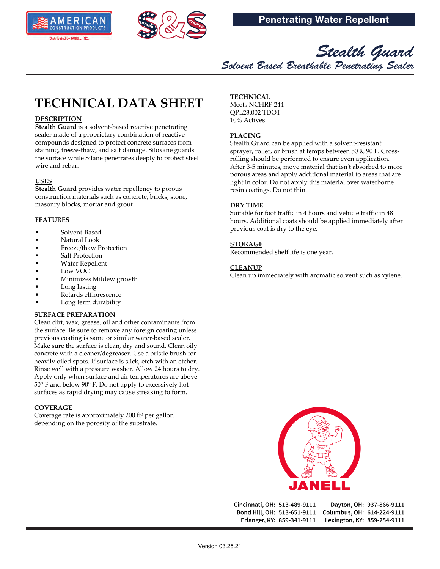



*Stealth Guard Solvent Based Breathable Penetrating Sealer*

## **TECHNICAL DATA SHEET**

## **DESCRIPTION**

**Stealth Guard** is a solvent-based reactive penetrating sealer made of a proprietary combination of reactive compounds designed to protect concrete surfaces from staining, freeze-thaw, and salt damage. Siloxane guards the surface while Silane penetrates deeply to protect steel wire and rebar.

### **USES**

**Stealth Guard** provides water repellency to porous construction materials such as concrete, bricks, stone, masonry blocks, mortar and grout.

## **FEATURES**

- Solvent-Based
- Natural Look
- Freeze/thaw Protection
- Salt Protection
- Water Repellent
- Low VOC
- Minimizes Mildew growth
- Long lasting
- Retards efflorescence
- Long term durability

#### **SURFACE PREPARATION**

Clean dirt, wax, grease, oil and other contaminants from the surface. Be sure to remove any foreign coating unless previous coating is same or similar water-based sealer. Make sure the surface is clean, dry and sound. Clean oily concrete with a cleaner/degreaser. Use a bristle brush for heavily oiled spots. If surface is slick, etch with an etcher. Rinse well with a pressure washer. Allow 24 hours to dry. Apply only when surface and air temperatures are above 50° F and below 90° F. Do not apply to excessively hot surfaces as rapid drying may cause streaking to form.

#### **COVERAGE**

Coverage rate is approximately 200 ft² per gallon depending on the porosity of the substrate.

## **TECHNICAL**

Meets NCHRP 244 QPL23.002 TDOT 10% Actives

## **PLACING**

Stealth Guard can be applied with a solvent-resistant sprayer, roller, or brush at temps between 50 & 90 F. Crossrolling should be performed to ensure even application. After 3-5 minutes, move material that isn't absorbed to more porous areas and apply additional material to areas that are light in color. Do not apply this material over waterborne resin coatings. Do not thin.

## **DRY TIME**

Suitable for foot traffic in 4 hours and vehicle traffic in 48 hours. Additional coats should be applied immediately after previous coat is dry to the eye.

## **STORAGE**

Recommended shelf life is one year.

#### **CLEANUP**

Clean up immediately with aromatic solvent such as xylene.



Cincinnati, OH: 513-489-9111 Bond Hill, OH: 513-651-9111 Erlanger, KY: 859-341-9111

Dayton, OH: 937-866-9111 Columbus, OH: 614-224-9111 Lexington, KY: 859-254-9111